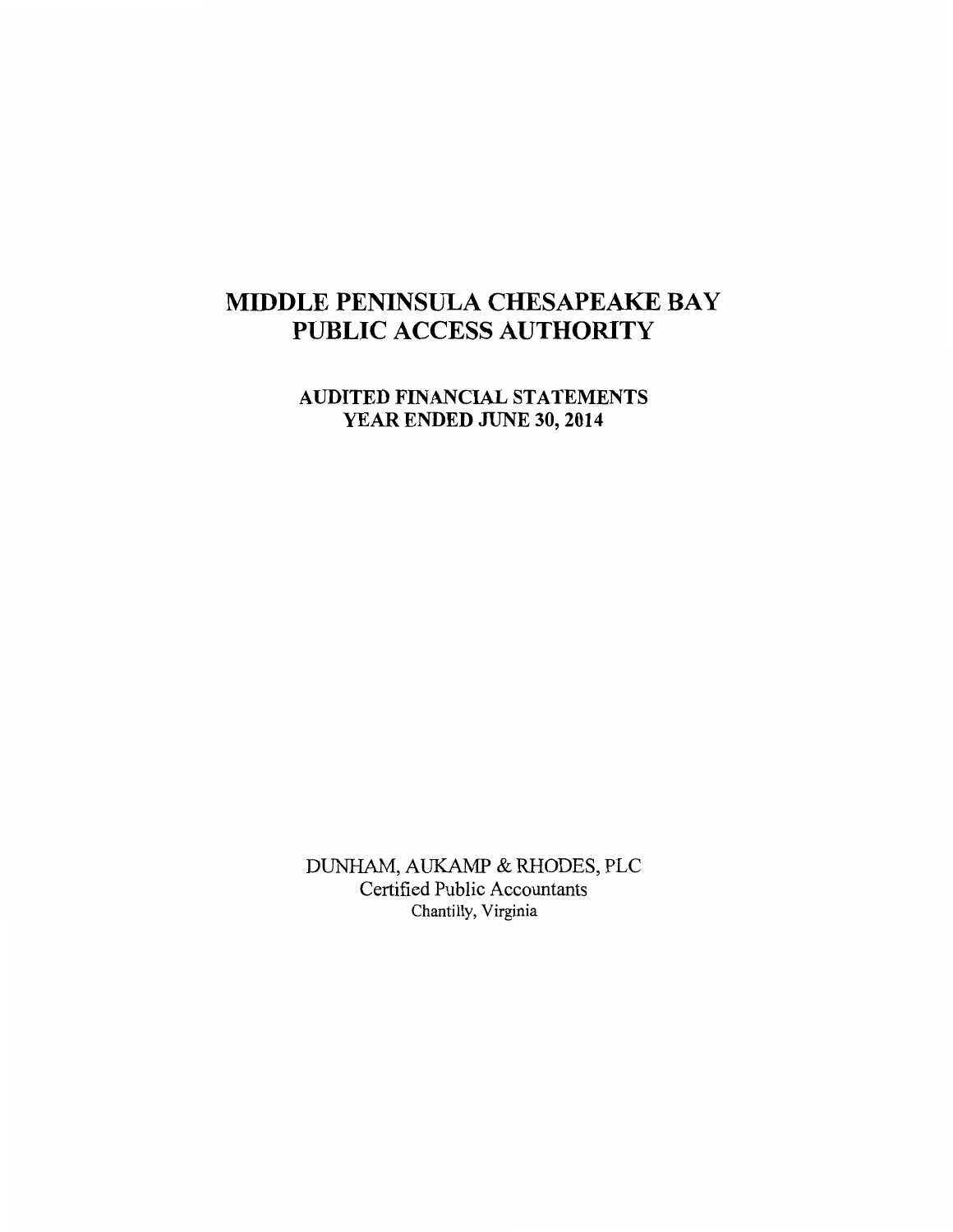# AUDITED FINANCIAL STATEMENTS YEAR ENDED JUNE 30, 2014

DUNHAM, AUKAMP & RHODES, PLC Certified Public Accountants Chantilly, Virginia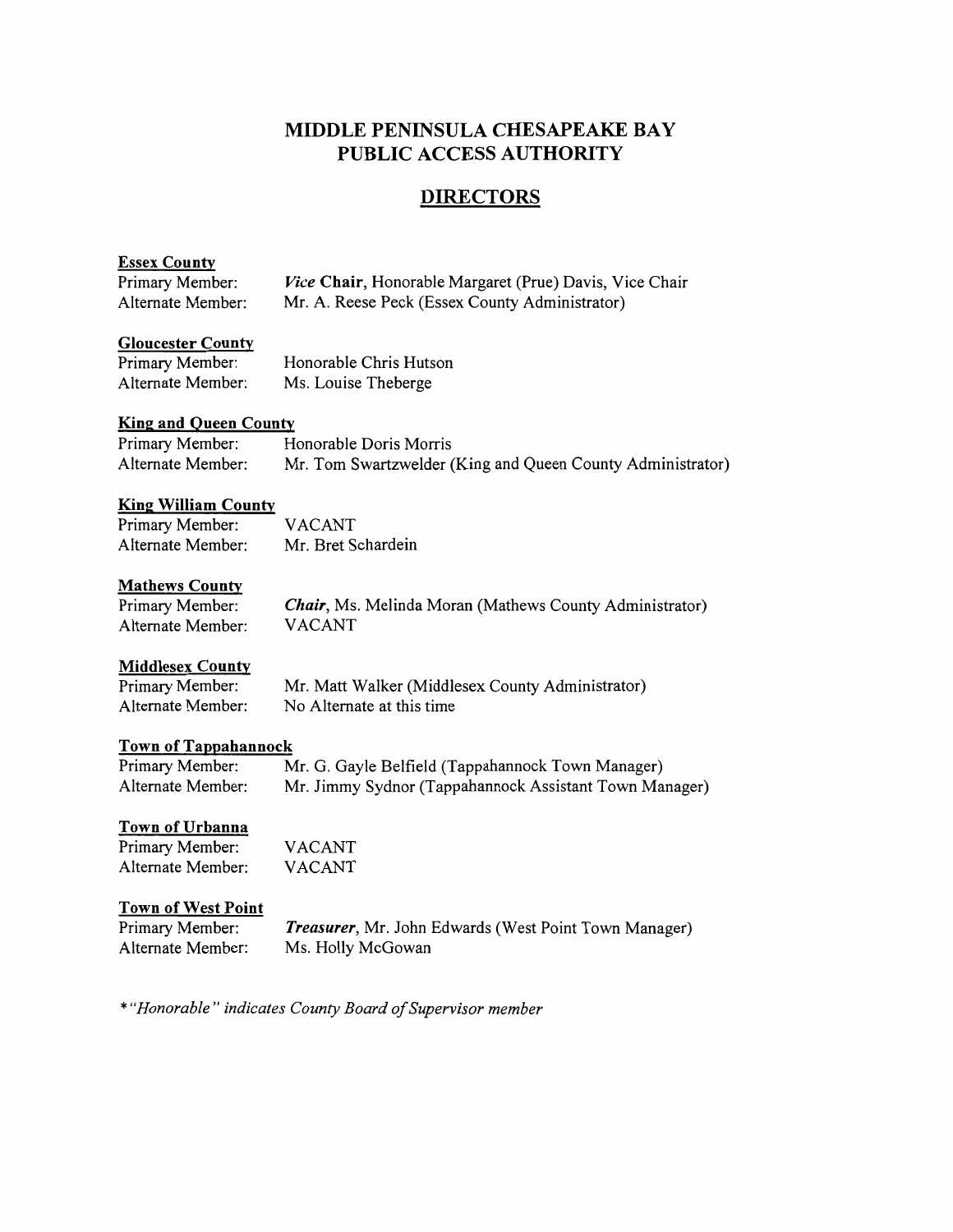# **DIRECTORS**

# Essex County

| Primary Member:   | <i>Vice</i> Chair, Honorable Margaret (Prue) Davis, Vice Chair |
|-------------------|----------------------------------------------------------------|
| Alternate Member: | Mr. A. Reese Peck (Essex County Administrator)                 |

#### Gloucester County

| Primary Member:   | Honorable Chris Hutson |
|-------------------|------------------------|
| Alternate Member: | Ms. Louise Theberge    |

# King and Queen County

| Primary Member:   | Honorable Doris Morris                                     |
|-------------------|------------------------------------------------------------|
| Alternate Member: | Mr. Tom Swartzwelder (King and Queen County Administrator) |

## King William County

| Primary Member:   | <b>VACANT</b>      |
|-------------------|--------------------|
| Alternate Member: | Mr. Bret Schardein |

## Mathews County

| Primary Member:   | <b>Chair</b> , Ms. Melinda Moran (Mathews County Administrator) |
|-------------------|-----------------------------------------------------------------|
| Alternate Member: | <b>VACANT</b>                                                   |

## **Middlesex County**

| Primary Member:   | Mr. Matt Walker (Middlesex County Administrator) |
|-------------------|--------------------------------------------------|
| Alternate Member: | No Alternate at this time                        |

## Town of Tappahannock

| Primary Member:   | Mr. G. Gayle Belfield (Tappahannock Town Manager)      |
|-------------------|--------------------------------------------------------|
| Alternate Member: | Mr. Jimmy Sydnor (Tappahannock Assistant Town Manager) |

#### Town of Urbanna

| Primary Member:   | <b>VACANT</b> |
|-------------------|---------------|
| Alternate Member: | VACANT        |

## Town of West Point

| Primary Member:   | Treasurer, Mr. John Edwards (West Point Town Manager) |
|-------------------|-------------------------------------------------------|
| Alternate Member: | Ms. Holly McGowan                                     |

*\*"Honorable" indicates County Board of Supervisor member*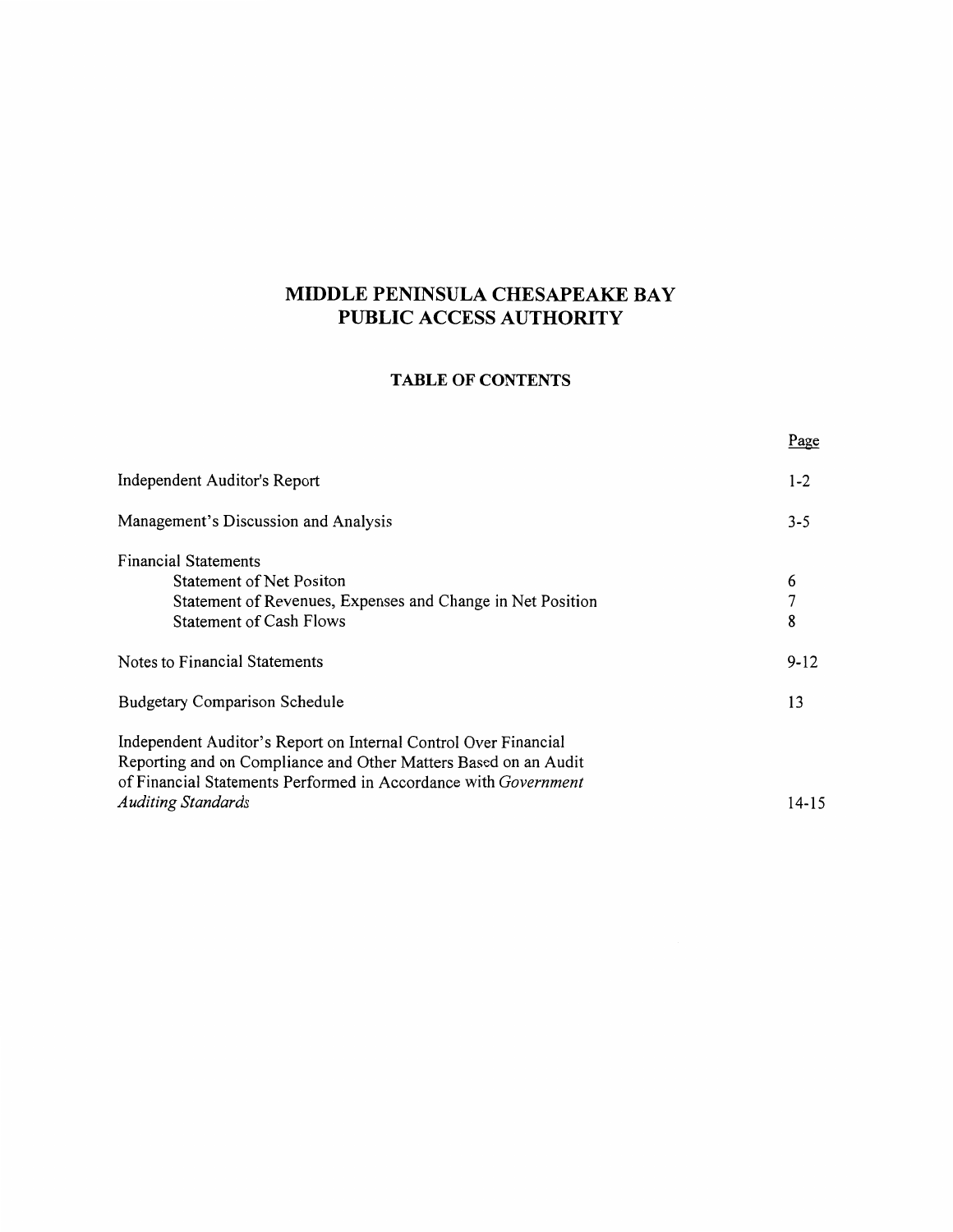# **TABLE OF CONTENTS**

|                                                                                                                                                                                                       | <u>rage</u> |
|-------------------------------------------------------------------------------------------------------------------------------------------------------------------------------------------------------|-------------|
| Independent Auditor's Report                                                                                                                                                                          | $1 - 2$     |
| Management's Discussion and Analysis                                                                                                                                                                  | $3 - 5$     |
| <b>Financial Statements</b>                                                                                                                                                                           |             |
| <b>Statement of Net Positon</b>                                                                                                                                                                       | 6           |
| Statement of Revenues, Expenses and Change in Net Position                                                                                                                                            | 7           |
| <b>Statement of Cash Flows</b>                                                                                                                                                                        | 8           |
| Notes to Financial Statements                                                                                                                                                                         | $9 - 12$    |
| <b>Budgetary Comparison Schedule</b>                                                                                                                                                                  | 13          |
| Independent Auditor's Report on Internal Control Over Financial<br>Reporting and on Compliance and Other Matters Based on an Audit<br>of Financial Statements Performed in Accordance with Government |             |
| <b>Auditing Standards</b>                                                                                                                                                                             | 14-15       |
|                                                                                                                                                                                                       |             |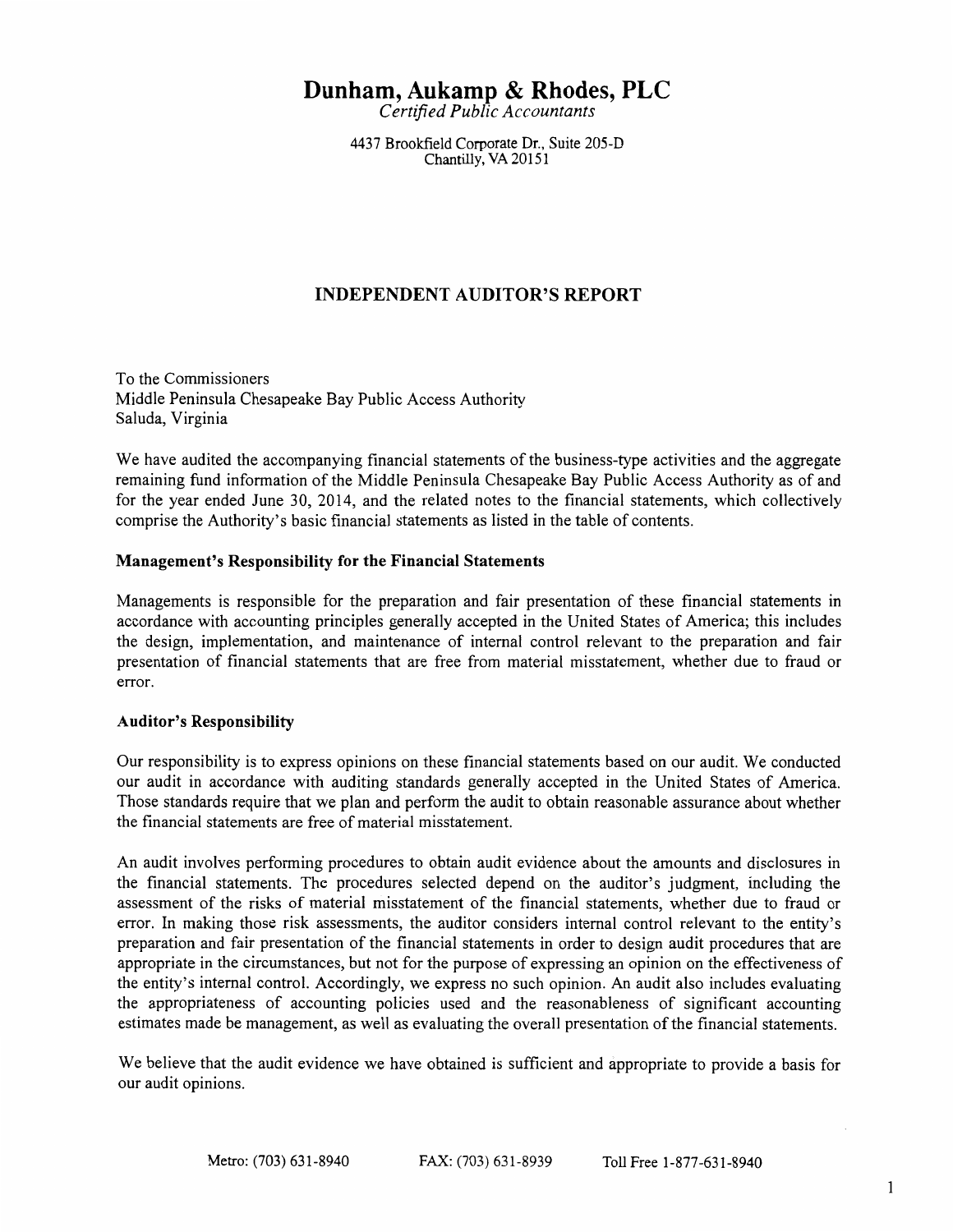# **Dunham, Aukamp & Rhodes, PLC**

*Certified Public Accountants* 

4437 Brookfield Corporate Dr., Suite 205-D Chantilly, VA 20151

# **INDEPENDENT AUDITOR'S REPORT**

To the Commissioners Middle Peninsula Chesapeake Bay Public Access Authority Saluda, Virginia

We have audited the accompanying financial statements of the business-type activities and the aggregate remaining fund information of the Middle Peninsula Chesapeake Bay Public Access Authority as of and for the year ended June 30, 2014, and the related notes to the financial statements, which collectively comprise the Authority's basic financial statements as listed in the table of contents.

## **Management's Responsibility for the Financial Statements**

Managements is responsible for the preparation and fair presentation of these financial statements in accordance with accounting principles generally accepted in the United States of America; this includes the design, implementation, and maintenance of internal control relevant to the preparation and fair presentation of financial statements that are free from material misstatement, whether due to fraud or error.

## **Auditor's Responsibility**

Our responsibility is to express opinions on these financial statements based on our audit. We conducted our audit in accordance with auditing standards generally accepted in the United States of America. Those standards require that we plan and perform the audit to obtain reasonable assurance about whether the financial statements are free of material misstatement.

An audit involves performing procedures to obtain audit evidence about the amounts and disclosures in the financial statements. The procedures selected depend on the auditor's judgment, including the assessment of the risks of material misstatement of the financial statements, whether due to fraud or error. In making those risk assessments, the auditor considers internal control relevant to the entity's preparation and fair presentation of the financial statements in order to design audit procedures that are appropriate in the circumstances, but not for the purpose of expressing an opinion on the effectiveness of the entity's internal control. Accordingly, we express no such opinion. An audit also includes evaluating the appropriateness of accounting policies used and the reasonableness of significant accounting estimates made be management, as well as evaluating the overall presentation of the financial statements.

We believe that the audit evidence we have obtained is sufficient and appropriate to provide a basis for our audit opinions.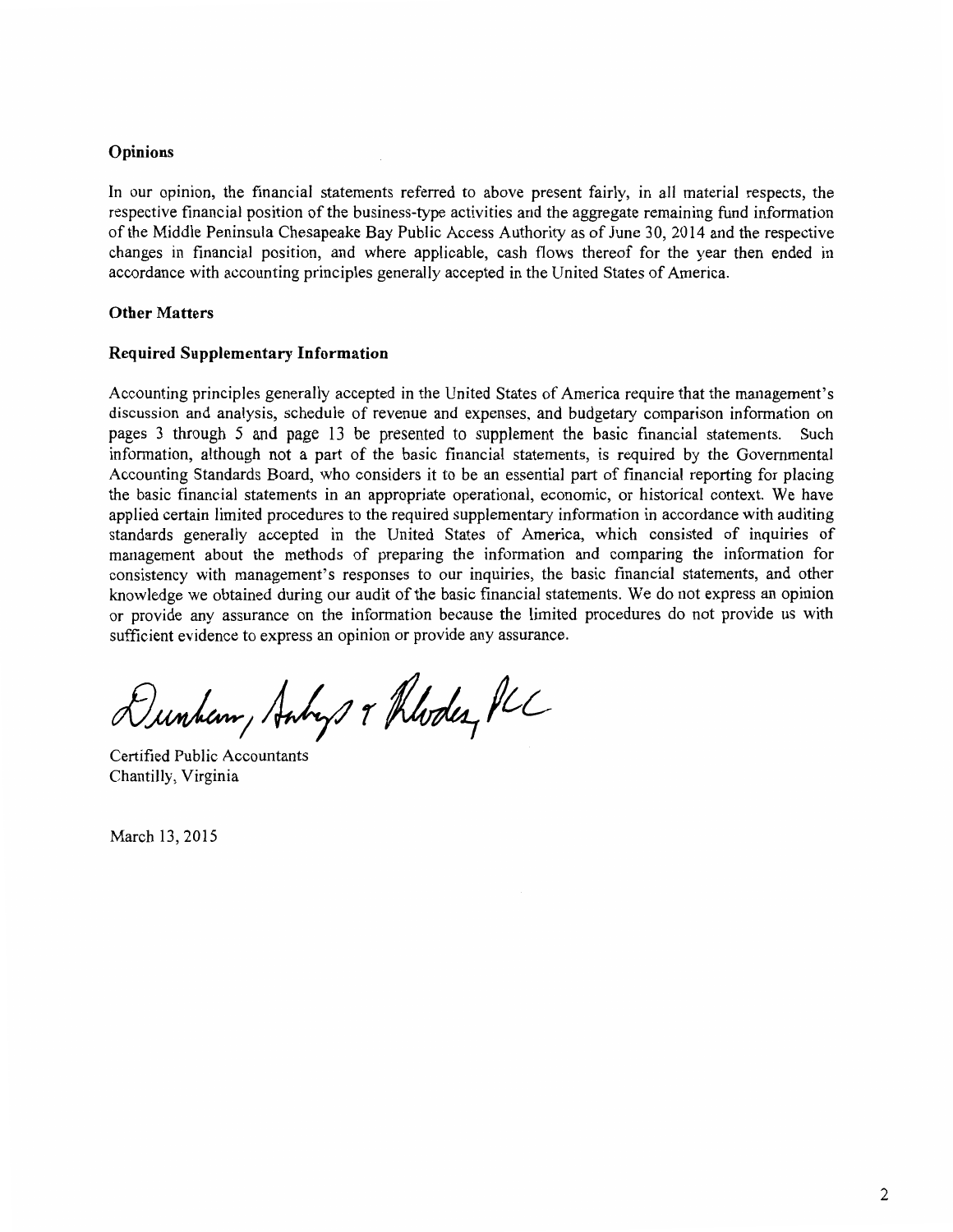#### **Opinions**

In our opinion, the financial statements referred to above present fairly, in all material respects, the respective financial position of the business-type activities and the aggregate remaining fund information of the Middle Peninsula Chesapeake Bay Public Access Authority as of June 30, 2014 and the respective changes in financial position, and where applicable, cash flows thereof for the year then ended in accordance with accounting principles generally accepted in the United States of America.

#### **Other Matters**

#### **Required Supplementary Information**

Accounting principles generally accepted in the United States of America require that the management's discussion and analysis, schedule of revenue and expenses, and budgetary comparison information on pages 3 through 5 and page 13 be presented to supplement the basic financial statements. Such information, although not a part of the basic financial statements, is required by the Governmental Accounting Standards Board, who considers it to be an essential part of financial reporting for placing the basic financial statements in an appropriate operational, economic, or historical context. We have applied certain limited procedures to the required supplementary information in accordance with auditing standards generally accepted in the United States of America, which consisted of inquiries of management about the methods of preparing the information and comparing the information for consistency with management's responses to our inquiries, the basic financial statements, and other knowledge we obtained during our audit of the basic financial statements. We do not express an opinion or provide any assurance on the information because the limited procedures do not provide us with sufficient evidence to express an opinion or provide any assurance.

Dunham, Anhys & Rhodes, PLC

Certified Public Accountants Chantilly, Virginia

March 13, 2015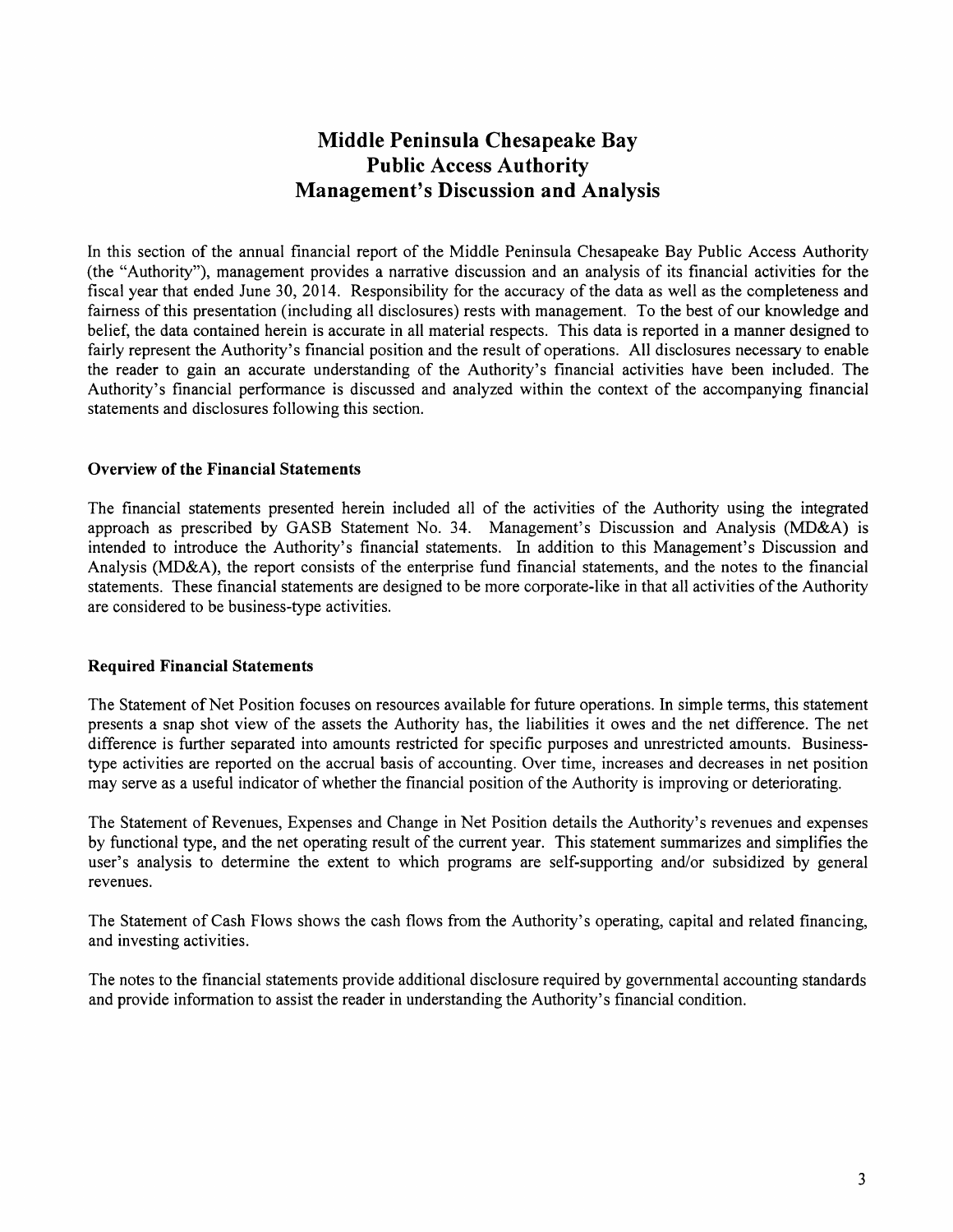# **Middle Peninsula Chesapeake Bay Public Access Authority Management's Discussion and Analysis**

In this section of the annual financial report of the Middle Peninsula Chesapeake Bay Public Access Authority (the "Authority"), management provides a narrative discussion and an analysis of its financial activities for the fiscal year that ended June 30, 2014. Responsibility for the accuracy of the data as well as the completeness and fairness of this presentation (including all disclosures) rests with management. To the best of our knowledge and belief, the data contained herein is accurate in all material respects. This data is reported in a manner designed to fairly represent the Authority's financial position and the result of operations. All disclosures necessary to enable the reader to gain an accurate understanding of the Authority's financial activities have been included. The Authority's financial performance is discussed and analyzed within the context of the accompanying financial statements and disclosures following this section.

#### **Overview of the Financial Statements**

The financial statements presented herein included all of the activities of the Authority using the integrated approach as prescribed by GASB Statement No. 34. Management's Discussion and Analysis (MD&A) is intended to introduce the Authority's financial statements. In addition to this Management's Discussion and Analysis (MD&A), the report consists of the enterprise fund financial statements, and the notes to the financial statements. These financial statements are designed to be more corporate-like in that all activities of the Authority are considered to be business-type activities.

#### **Required Financial Statements**

The Statement of Net Position focuses on resources available for future operations. In simple terms, this statement presents a snap shot view of the assets the Authority has, the liabilities it owes and the net difference. The net difference is further separated into amounts restricted for specific purposes and unrestricted amounts. Businesstype activities are reported on the accrual basis of accounting. Over time, increases and decreases in net position may serve as a useful indicator of whether the financial position of the Authority is improving or deteriorating.

The Statement of Revenues, Expenses and Change in Net Position details the Authority's revenues and expenses by functional type, and the net operating result of the current year. This statement summarizes and simplifies the user's analysis to determine the extent to which programs are self-supporting and/or subsidized by general revenues.

The Statement of Cash Flows shows the cash flows from the Authority's operating, capital and related financing, and investing activities.

The notes to the financial statements provide additional disclosure required by governmental accounting standards and provide information to assist the reader in understanding the Authority's financial condition.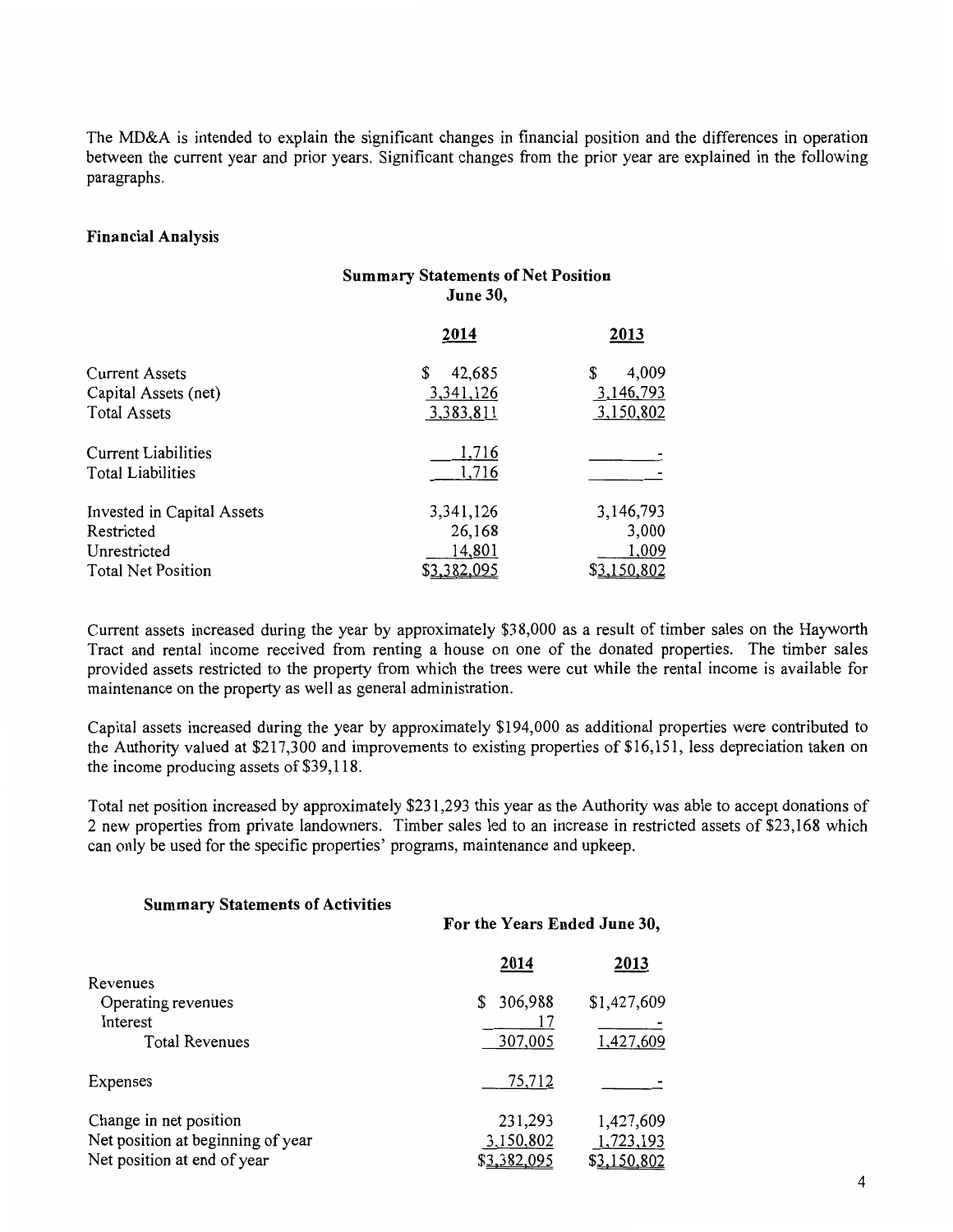The MD&A is intended to explain the significant changes in financial position and the differences in operation between the current year and prior years. Significant changes from the prior year are explained in the following paragraphs.

#### Financial Analysis

|                            | <b>Summary Statements of Net Position</b><br><b>June 30,</b> |             |
|----------------------------|--------------------------------------------------------------|-------------|
|                            | 2014                                                         | 2013        |
| Current Assets             | 42,685<br>S                                                  | \$<br>4,009 |
| Capital Assets (net)       | 3, 341, 126                                                  | 3,146,793   |
| <b>Total Assets</b>        | 3,383,811                                                    | 3,150,802   |
| Current Liabilities        | 1,716                                                        |             |
| Total Liabilities          | 1,716                                                        |             |
| Invested in Capital Assets | 3,341,126                                                    | 3,146,793   |
| Restricted                 | 26,168                                                       | 3,000       |
| Unrestricted               | 14,801                                                       | 1,009       |
| Total Net Position         | \$3,382,095                                                  | \$3,150,802 |

Current assets increased during the year by approximately \$38,000 as a result of timber sales on the Hayworth Tract and rental income received from renting a house on one of the donated properties. The timber sales provided assets restricted to the property from which the trees were cut while the rental income is available for maintenance on the property as well as general administration.

Capital assets increased during the year by approximately \$194,000 as additional properties were contributed to the Authority valued at \$217,300 and improvements to existing properties of \$16,151, less depreciation taken on the income producing assets of \$39,118.

Total net position increased by approximately \$231,293 this year as the Authority was able to accept donations of 2 new properties from private landowners. Timber sales led to an increase in restricted assets of \$23,168 which can only be used for the specific properties' programs, maintenance and upkeep.

| <b>Summary Statements of Activities</b> | For the Years Ended June 30, |             |
|-----------------------------------------|------------------------------|-------------|
|                                         | 2014                         | 2013        |
| Revenues                                |                              |             |
| Operating revenues<br>Interest          | 306,988<br>S                 | \$1,427,609 |
| <b>Total Revenues</b>                   | 307,005                      | 1,427,609   |
| Expenses                                | 75,712                       |             |
| Change in net position                  | 231,293                      | 1,427,609   |
| Net position at beginning of year       | 3,150,802                    | 1,723,193   |
| Net position at end of year             | \$3,382,095                  | \$3,150,802 |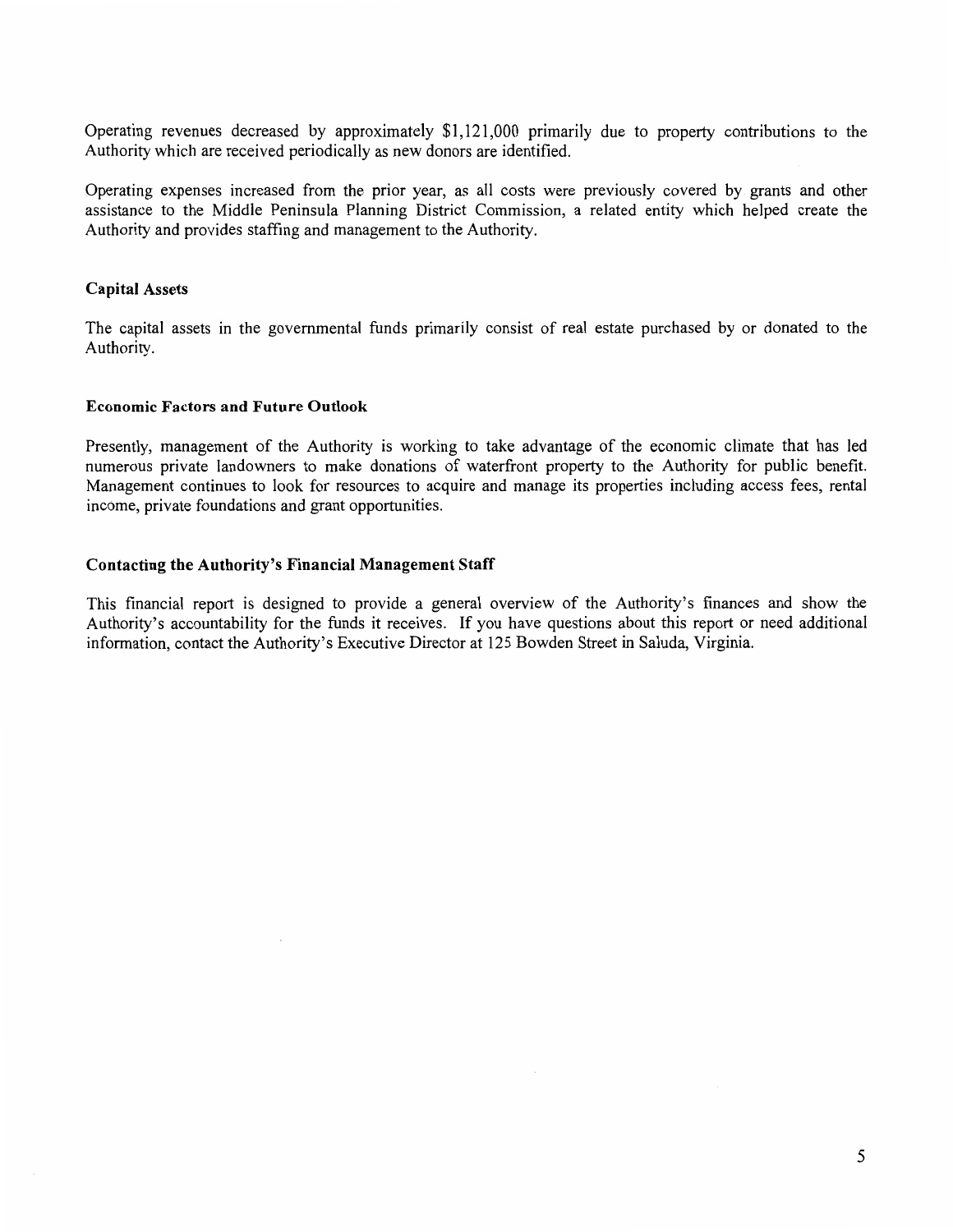Operating revenues decreased by approximately \$1,121,000 primarily due to property contributions to the Authority which are received periodically as new donors are identified.

Operating expenses increased from the prior year, as all costs were previously covered by grants and other assistance to the Middle Peninsula Planning District Commission, a related entity which helped create the Authority and provides staffing and management to the Authority.

#### Capital Assets

The capital assets in the governmental funds primarily consist of real estate purchased by or donated to the Authority.

#### Economic Factors and Future Outlook

Presently, management of the Authority is working to take advantage of the economic climate that has led numerous private landowners to make donations of waterfront property to the Authority for public benefit. Management continues to look for resources to acquire and manage its properties including access fees, rental income, private foundations and grant opportunities.

#### Contacting the Authority's Financial Management Staff

This financial report is designed to provide a general overview of the Authority's finances and show the Authority's accountability for the funds it receives. If you have questions about this report or need additional information, contact the Authority's Executive Director at 125 Bowden Street in Saluda, Virginia.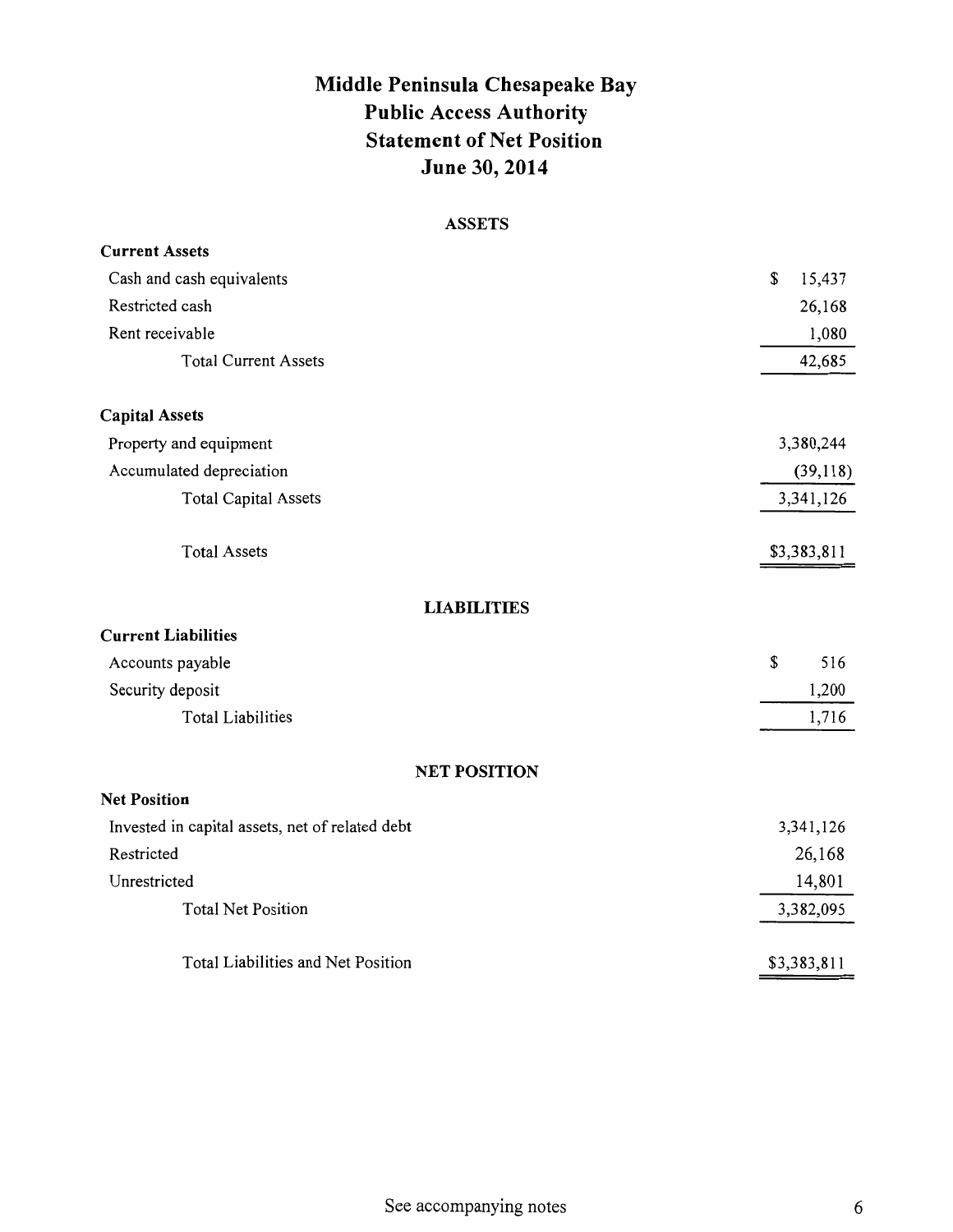# Middle Peninsula Chesapeake Bay Public Access Authority Statement of Net Position June 30, 2014

# ASSETS

| <b>Current Assets</b>                           |              |
|-------------------------------------------------|--------------|
| Cash and cash equivalents                       | \$<br>15,437 |
| Restricted cash                                 | 26,168       |
| Rent receivable                                 | 1,080        |
| <b>Total Current Assets</b>                     | 42,685       |
| <b>Capital Assets</b>                           |              |
| Property and equipment                          | 3,380,244    |
| Accumulated depreciation                        | (39,118)     |
| <b>Total Capital Assets</b>                     | 3,341,126    |
| <b>Total Assets</b>                             | \$3,383,811  |
| <b>LIABILITIES</b>                              |              |
| <b>Current Liabilities</b>                      |              |
| Accounts payable                                | \$<br>516    |
| Security deposit                                | 1,200        |
| <b>Total Liabilities</b>                        | 1,716        |
| <b>NET POSITION</b>                             |              |
| <b>Net Position</b>                             |              |
| Invested in capital assets, net of related debt | 3,341,126    |
| Restricted                                      | 26,168       |
| Unrestricted                                    | 14,801       |
| <b>Total Net Position</b>                       | 3,382,095    |
| Total Liabilities and Net Position              | \$3,383,811  |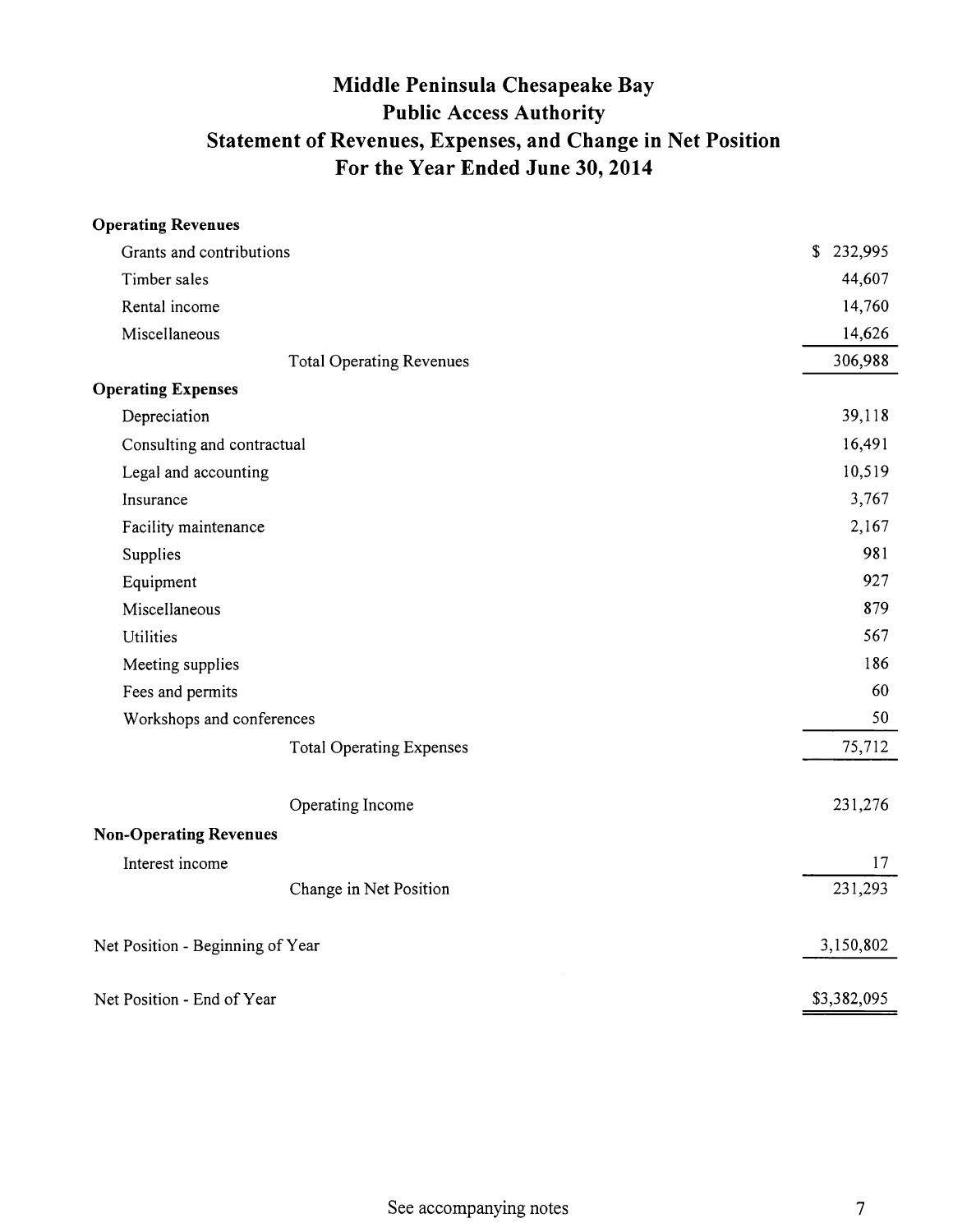# Middle Peninsula Chesapeake Bay Public Access Authority Statement of Revenues, Expenses, and Change in Net Position For the Year Ended June 30, 2014

| <b>Operating Revenues</b>        |                                 |               |
|----------------------------------|---------------------------------|---------------|
| Grants and contributions         | \$232,995                       |               |
| Timber sales                     |                                 | 44,607        |
| Rental income                    |                                 | 14,760        |
| Miscellaneous                    |                                 | 14,626        |
|                                  | <b>Total Operating Revenues</b> | 306,988       |
| <b>Operating Expenses</b>        |                                 |               |
| Depreciation                     |                                 | 39,118        |
| Consulting and contractual       |                                 | 16,491        |
| Legal and accounting             |                                 | 10,519        |
| Insurance                        |                                 | 3,767         |
| Facility maintenance             |                                 | 2,167         |
| Supplies                         |                                 | 981           |
| Equipment                        |                                 | 927           |
| Miscellaneous                    |                                 | 879           |
| Utilities                        |                                 | 567           |
| Meeting supplies                 |                                 | 186           |
| Fees and permits                 |                                 | 60            |
| Workshops and conferences        |                                 | 50            |
|                                  | <b>Total Operating Expenses</b> | 75,712        |
| Operating Income                 |                                 | 231,276       |
| <b>Non-Operating Revenues</b>    |                                 |               |
| Interest income                  |                                 | 17<br>231,293 |
|                                  | Change in Net Position          |               |
| Net Position - Beginning of Year | 3,150,802                       |               |
| Net Position - End of Year       | \$3,382,095                     |               |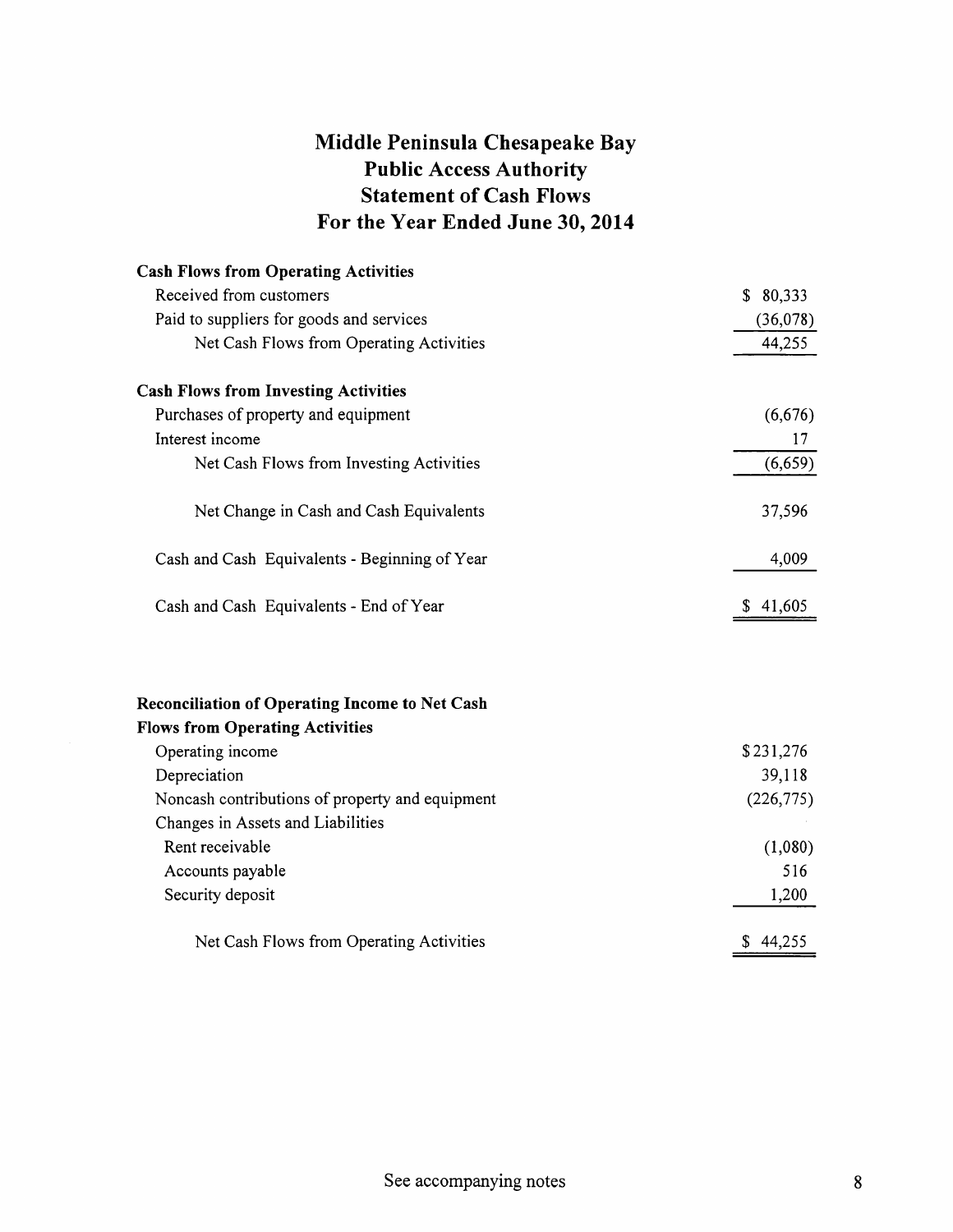# Middle Peninsula Chesapeake Bay Public Access Authority Statement of Cash Flows For the Year Ended June 30,2014

| <b>Cash Flows from Operating Activities</b>           |            |
|-------------------------------------------------------|------------|
| Received from customers                               | \$80,333   |
| Paid to suppliers for goods and services              | (36,078)   |
| Net Cash Flows from Operating Activities              | 44,255     |
| <b>Cash Flows from Investing Activities</b>           |            |
| Purchases of property and equipment                   | (6,676)    |
| Interest income                                       | 17         |
| Net Cash Flows from Investing Activities              | (6, 659)   |
| Net Change in Cash and Cash Equivalents               | 37,596     |
| Cash and Cash Equivalents - Beginning of Year         | 4,009      |
| Cash and Cash Equivalents - End of Year               | \$41,605   |
| <b>Reconciliation of Operating Income to Net Cash</b> |            |
| <b>Flows from Operating Activities</b>                |            |
| Operating income                                      | \$231,276  |
| Depreciation                                          | 39,118     |
| Noncash contributions of property and equipment       | (226, 775) |
| Changes in Assets and Liabilities                     |            |
| Rent receivable                                       | (1,080)    |
| Accounts payable                                      | 516        |
| Security deposit                                      | 1,200      |
| Net Cash Flows from Operating Activities              | \$44,255   |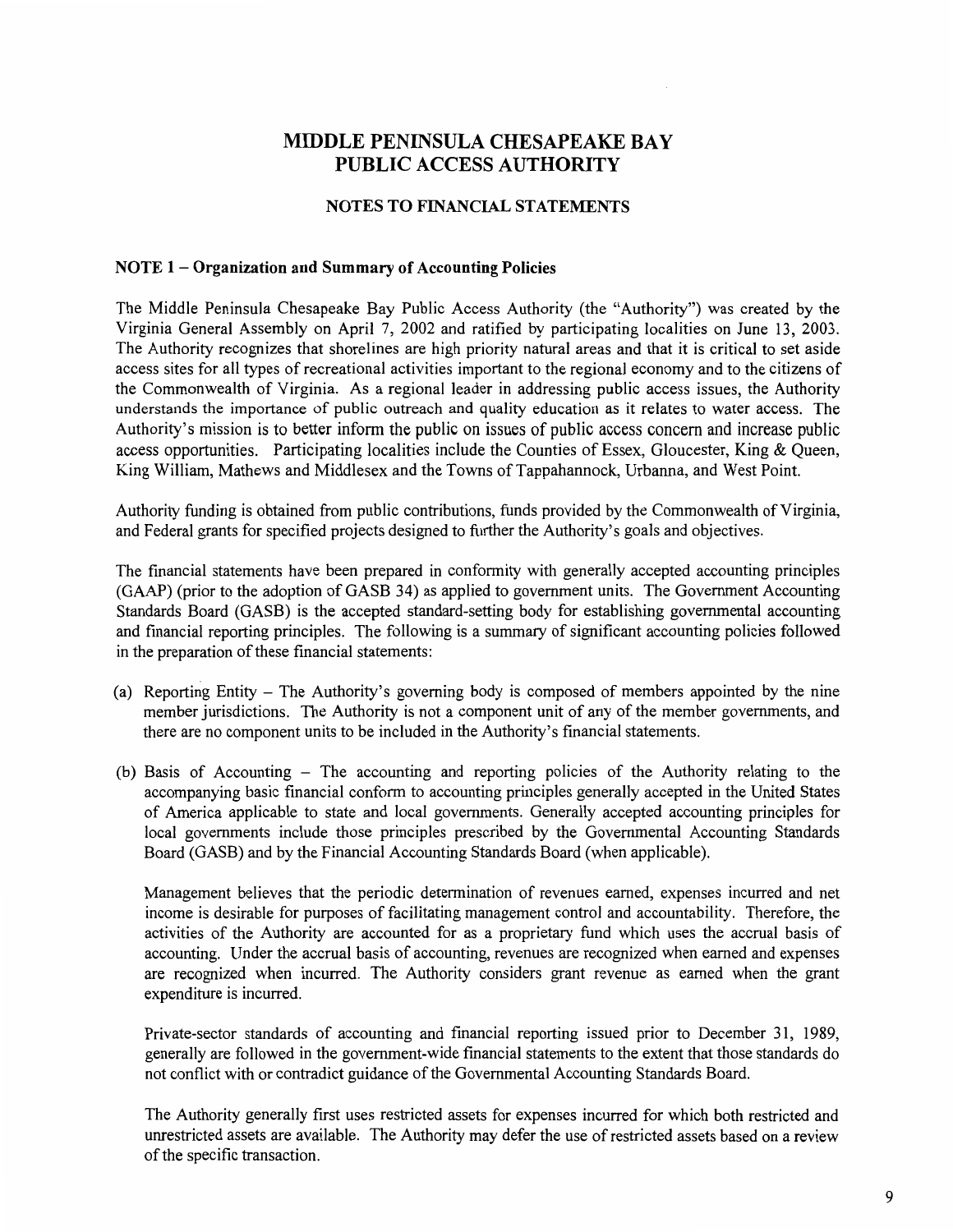## NOTES TO FINANCIAL STATEMENTS

#### NOTE 1 – Organization and Summary of Accounting Policies

The Middle Peninsula Chesapeake Bay Public Access Authority (the "Authority") was created by the Virginia General Assembly on April 7, 2002 and ratified by participating localities on June 13, 2003. The Authority recognizes that shorelines are high priority natural areas and that it is critical to set aside access sites for all types of recreational activities important to the regional economy and to the citizens of the Commonwealth of Virginia. As a regional leader in addressing public access issues, the Authority understands the importance of public outreach and quality education as it relates to water access. The Authority's mission is to better inform the public on issues of public access concern and increase public access opportunities. Participating localities include the Counties of Essex, Gloucester, King & Queen, King William, Mathews and Middlesex and the Towns of Tappahannock, Urbanna, and West Point.

Authority funding is obtained from public contributions, funds provided by the Commonwealth of Virginia, and Federal grants for specified projects designed to further the Authority's goals and objectives.

The financial statements have been prepared in conformity with generally accepted accounting principles (GAAP) (prior to the adoption of GASB 34) as applied to government units. The Government Accounting Standards Board (GASB) is the accepted standard-setting body for establishing governmental accounting and financial reporting principles. The following is a summary of significant accounting policies followed in the preparation of these fmancial statements:

- (a) Reporting Entity The Authority's governing body is composed of members appointed by the nine member jurisdictions. The Authority is not a component unit of any of the member governments, and there are no component units to be included in the Authority's financial statements.
- (b) Basis of Accounting The accounting and reporting policies of the Authority relating to the accompanying basic fmancial conform to accounting principles generally accepted in the United States of America applicable to state and local governments. Generally accepted accounting principles for local governments include those principles prescribed by the Governmental Accounting Standards Board (GASB) and by the Financial Accounting Standards Board (when applicable).

Management believes that the periodic determination of revenues earned, expenses incurred and net income is desirable for purposes of facilitating management control and accountability. Therefore, the activities of the Authority are accounted for as a proprietary fund which uses the accrual basis of accounting. Under the accrual basis of accounting, revenues are recognized when earned and expenses are recognized when incurred. The Authority considers grant revenue as earned when the grant expenditure is incurred.

Private-sector standards of accounting and financial reporting issued prior to December 31, 1989, generally are followed in the government-wide financial statements to the extent that those standards do not conflict with or contradict guidance of the Governmental Accounting Standards Board.

The Authority generally first uses restricted assets for expenses incurred for which both restricted and unrestricted assets are available. The Authority may defer the use of restricted assets based on a review of the specific transaction.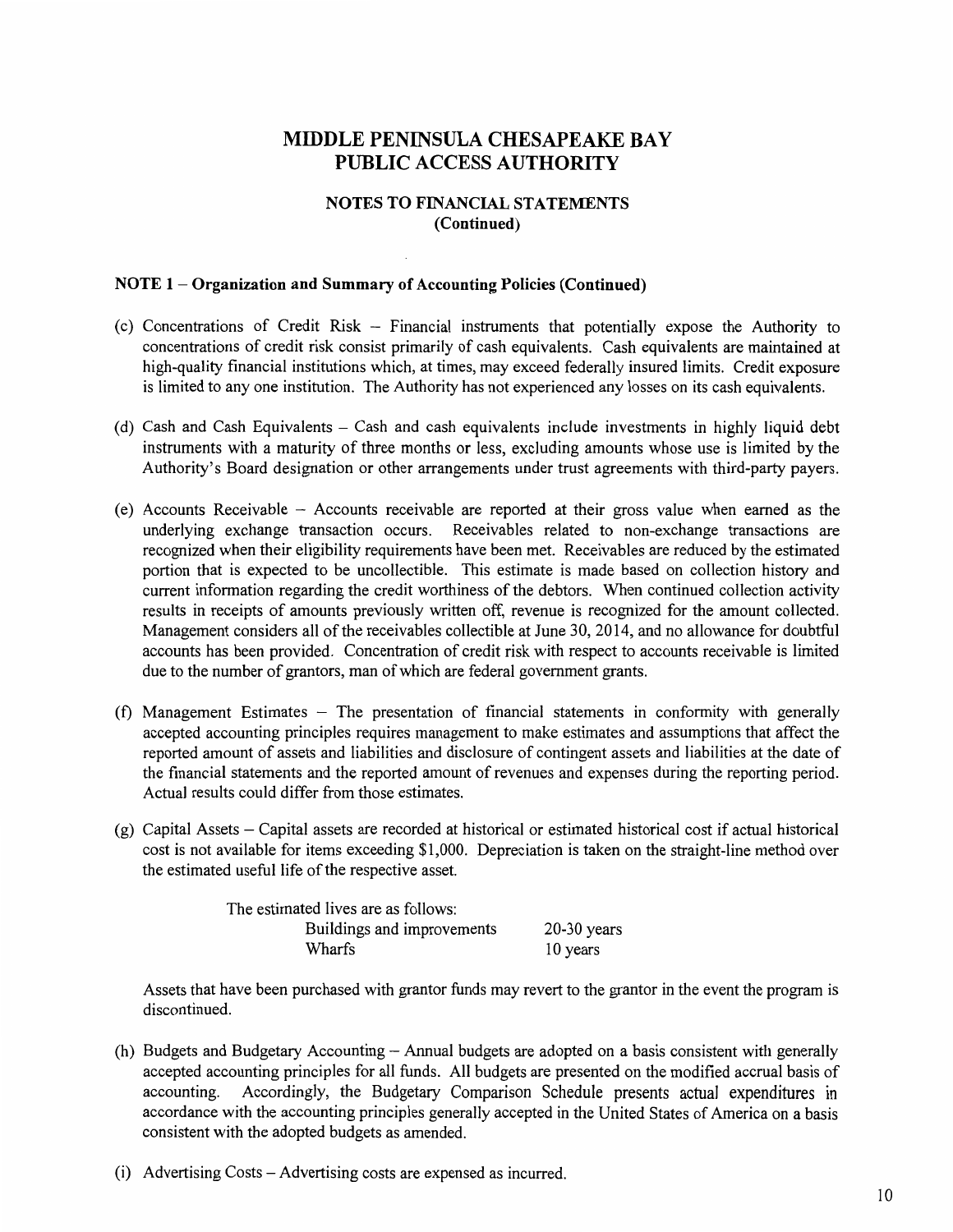### NOTES TO FINANCIAL STATEMENTS (Continued)

## NOTE 1 - Organization and Summary of Accounting Policies (Continued)

- (c) Concentrations of Credit Risk Financial instruments that potentially expose the Authority to concentrations of credit risk consist primarily of cash equivalents. Cash equivalents are maintained at high-quality financial institutions which, at times, may exceed federally insured limits. Credit exposure is limited to any one institution. The Authority has not experienced any losses on its cash equivalents.
- (d) Cash and Cash Equivalents Cash and cash equivalents include investments in highly liquid debt instruments with a maturity of three months or less, excluding amounts whose use is limited by the Authority's Board designation or other arrangements under trust agreements with third-party payers.
- (e) Accounts Receivable Accounts receivable are reported at their gross value when earned as the underlying exchange transaction occurs. Receivables related to non-exchange transactions are recognized when their eligibility requirements have been met. Receivables are reduced by the estimated portion that is expected to be uncollectible. This estimate is made based on collection history and current information regarding the credit worthiness of the debtors. When continued collection activity results in receipts of amounts previously written off, revenue is recognized for the amount collected. Management considers all of the receivables collectible at June 30, 2014, and no allowance for doubtful accounts has been provided. Concentration of credit risk with respect to accounts receivable is limited due to the number of grantors, man of which are federal government grants.
- $(f)$  Management Estimates  $-$  The presentation of financial statements in conformity with generally accepted accounting principles requires management to make estimates and assumptions that affect the reported amount of assets and liabilities and disclosure of contingent assets and liabilities at the date of the financial statements and the reported amount of revenues and expenses during the reporting period. Actual results could differ from those estimates.
- (g) Capital Assets Capital assets are recorded at historical or estimated historical cost if actual historical cost is not available for items exceeding \$1,000. Depreciation is taken on the straight-line method over the estimated useful life of the respective asset.

| The estimated lives are as follows: |               |
|-------------------------------------|---------------|
| Buildings and improvements          | $20-30$ years |
| Wharfs                              | 10 years      |

Assets that have been purchased with grantor funds may revert to the grantor in the event the program is discontinued.

- (h) Budgets and Budgetary Accounting- Annual budgets are adopted on a basis consistent with generally accepted accounting principles for all funds. All budgets are presented on the modified accrual basis of accounting. Accordingly, the Budgetary Comparison Schedule presents actual expenditures in accordance with the accounting principles generally accepted in the United States of America on a basis consistent with the adopted budgets as amended.
- (i) Advertising Costs -Advertising costs are expensed as incurred.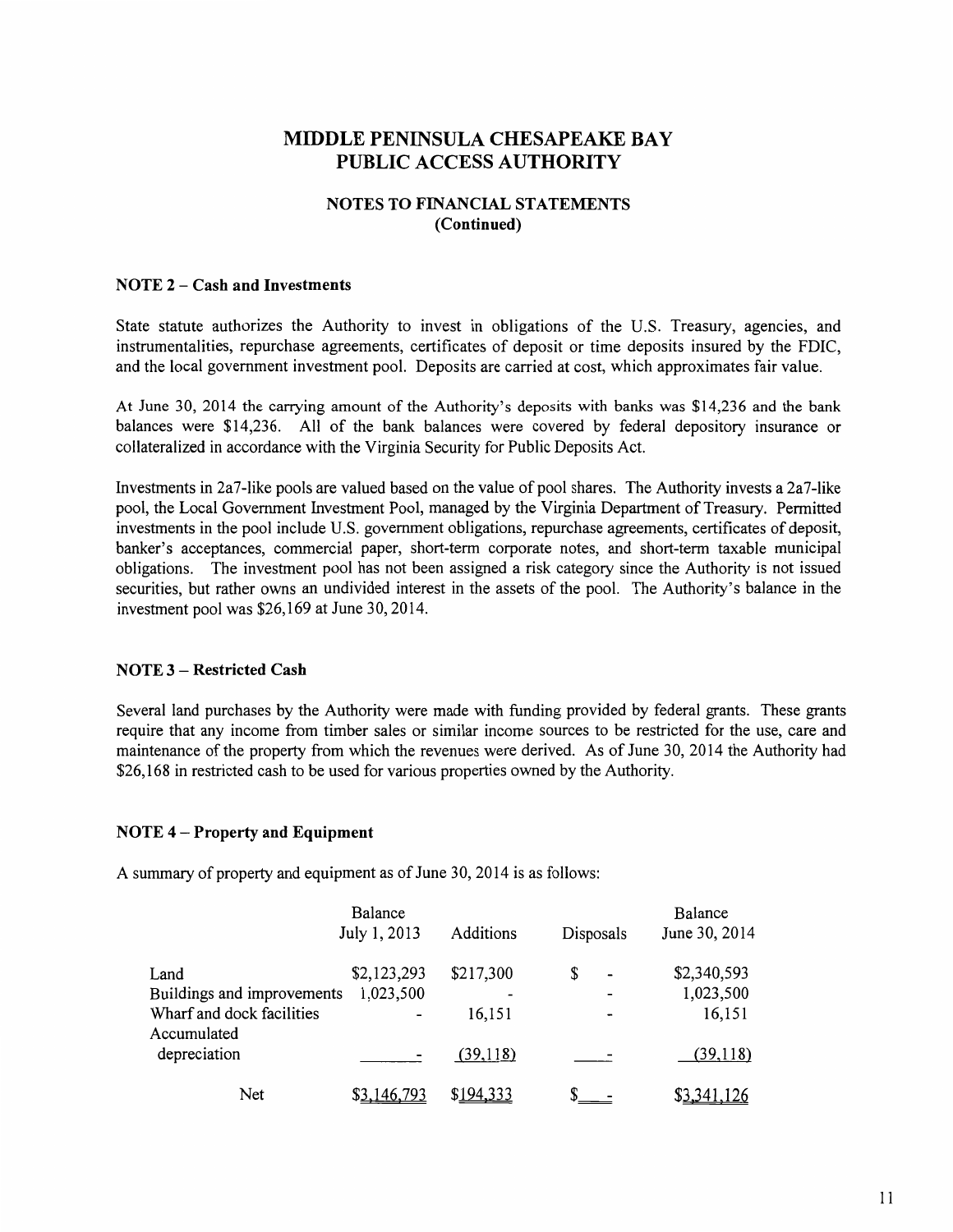## **NOTES TO FINANCIAL STATEMENTS (Continued)**

## **NOTE 2 - Cash and Investments**

State statute authorizes the Authority to invest in obligations of the U.S. Treasury, agencies, and instrumentalities, repurchase agreements, certificates of deposit or time deposits insured by the FDIC, and the local government investment pool. Deposits are carried at cost, which approximates fair value.

At June 30, 2014 the carrying amount of the Authority's deposits with banks was \$14,236 and the bank balances were \$14,236. All of the bank balances were covered by federal depository insurance or collateralized in accordance with the Virginia Security for Public Deposits Act.

Investments in 2a7-like pools are valued based on the value of pool shares. The Authority invests a 2a7-like pool, the Local Government Investment Pool, managed by the Virginia Department of Treasury. Permitted investments in the pool include U.S. government obligations, repurchase agreements, certificates of deposit, banker's acceptances, commercial paper, short-term corporate notes, and short-term taxable municipal obligations. The investment pool has not been assigned a risk category since the Authority is not issued securities, but rather owns an undivided interest in the assets of the pool. The Authority's balance in the investment pool was \$26,169 at June 30,2014.

## **NOTE 3 - Restricted Cash**

Several land purchases by the Authority were made with funding provided by federal grants. These grants require that any income from timber sales or similar income sources to be restricted for the use, care and maintenance of the property from which the revenues were derived. As of June 30, 2014 the Authority had \$26,168 in restricted cash to be used for various properties owned by the Authority.

## **NOTE 4- Property and Equipment**

A summary of property and equipment as of June 30, 2014 is as follows:

|                            | Balance      |           |                      | Balance       |
|----------------------------|--------------|-----------|----------------------|---------------|
|                            | July 1, 2013 | Additions | Disposals            | June 30, 2014 |
| Land                       | \$2,123,293  | \$217,300 | \$<br>$\blacksquare$ | \$2,340,593   |
| Buildings and improvements | 1,023,500    |           |                      | 1,023,500     |
| Wharf and dock facilities  |              | 16,151    | $\blacksquare$       | 16,151        |
| Accumulated                |              |           |                      |               |
| depreciation               |              | (39,118)  |                      | (39,118)      |
| Net                        | \$3,146,793  | \$194,333 |                      | \$3,341,126   |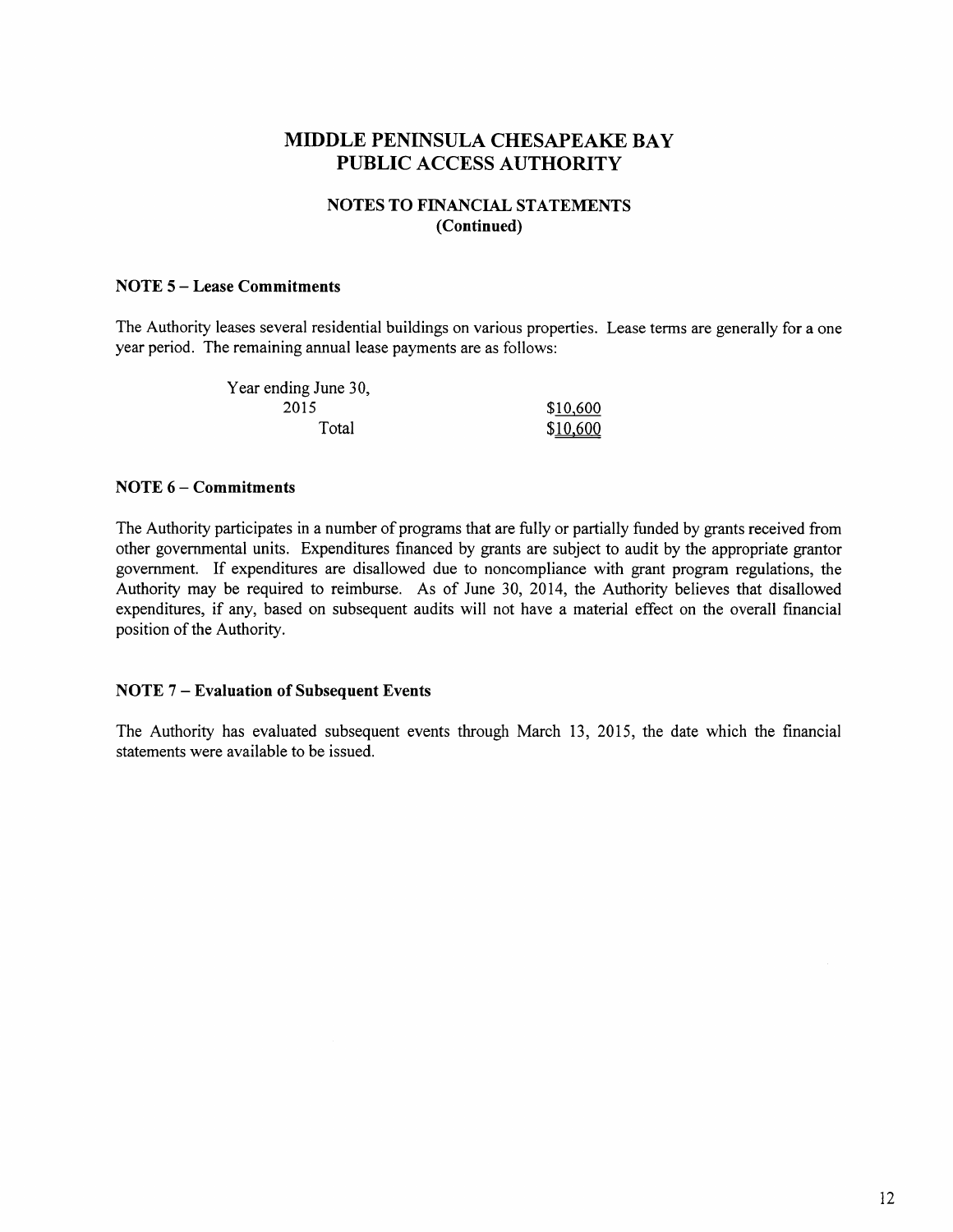## NOTES TO FINANCIAL STATEMENTS (Continued)

#### NOTE 5- Lease Commitments

The Authority leases several residential buildings on various properties. Lease terms are generally for a one year period. The remaining annual lease payments are as follows:

| Year ending June 30, |          |
|----------------------|----------|
| 2015                 | \$10,600 |
| Total                | \$10,600 |

### NOTE  $6$  – Commitments

The Authority participates in a number of programs that are fully or partially funded by grants received from other governmental units. Expenditures financed by grants are subject to audit by the appropriate grantor government. If expenditures are disallowed due to noncompliance with grant program regulations, the Authority may be required to reimburse. As of June 30, 2014, the Authority believes that disallowed expenditures, if any, based on subsequent audits will not have a material effect on the overall financial position of the Authority.

## NOTE 7- Evaluation of Subsequent Events

The Authority has evaluated subsequent events through March 13, 2015, the date which the financial statements were available to be issued.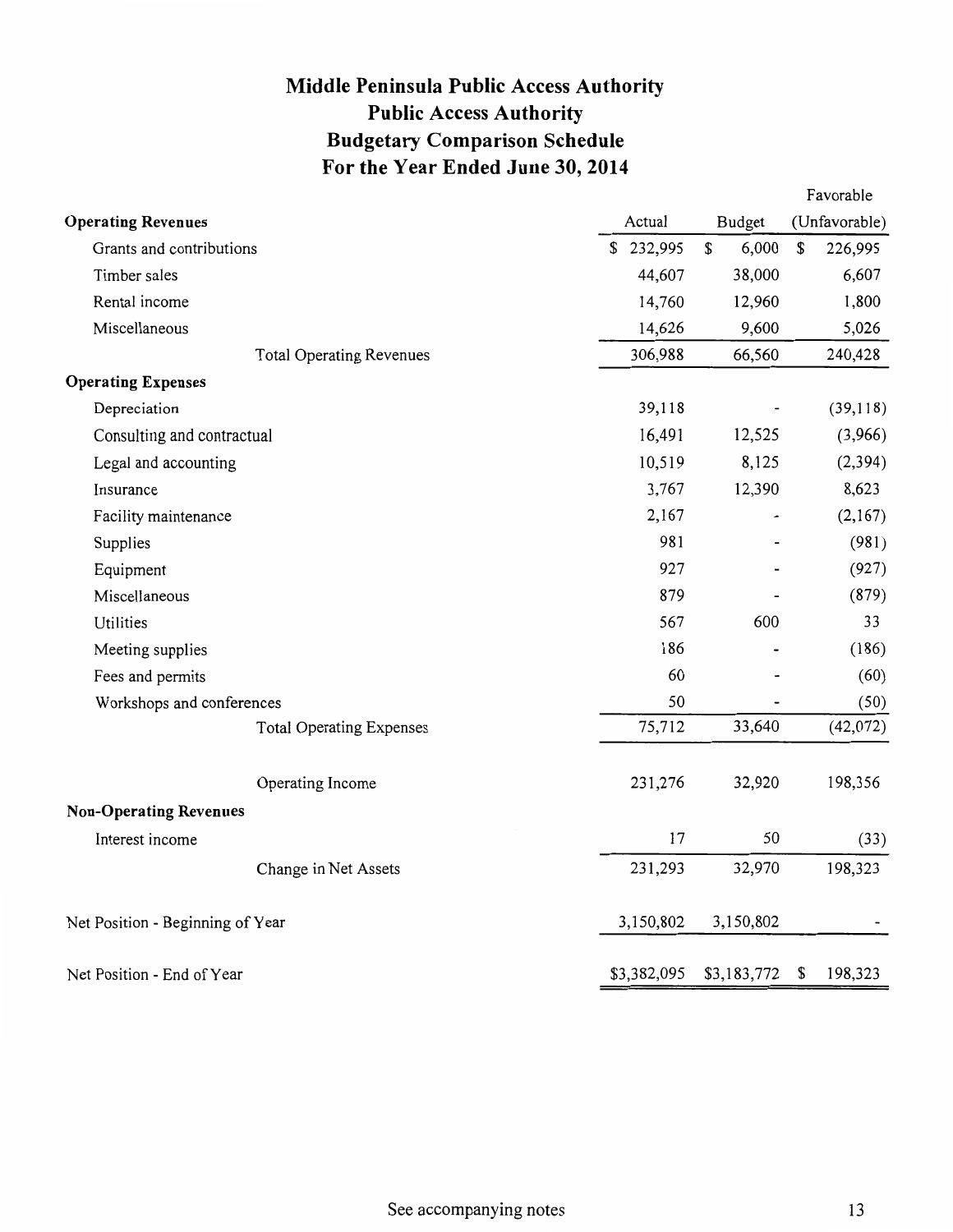# **Middle Peninsula Public Access Authority Public Access Authority Budgetary Comparison Schedule For the Year Ended June 30, 2014**

| Actual<br>Budget<br><b>Operating Revenues</b><br>6,000<br>\$232,995<br>\$<br>Grants and contributions<br>38,000<br>44,607<br>Timber sales<br>14,760<br>12,960<br>Rental income<br>9,600<br>14,626<br>Miscellaneous<br>306,988<br>66,560<br><b>Total Operating Revenues</b><br><b>Operating Expenses</b><br>39,118<br>Depreciation<br>16,491<br>12,525<br>Consulting and contractual<br>10,519<br>8,125<br>Legal and accounting<br>3,767<br>12,390<br>Insurance<br>2,167<br>Facility maintenance<br>981<br>Supplies<br>927<br>Equipment<br>879<br>Miscellaneous<br>567<br>600<br>Utilities<br>186<br>Meeting supplies<br>60<br>Fees and permits<br>50<br>Workshops and conferences<br>75,712<br>33,640<br><b>Total Operating Expenses</b><br>231,276<br>32,920<br>Operating Income | (Unfavorable)<br>\$<br>226,995<br>6,607<br>1,800<br>5,026 |
|-----------------------------------------------------------------------------------------------------------------------------------------------------------------------------------------------------------------------------------------------------------------------------------------------------------------------------------------------------------------------------------------------------------------------------------------------------------------------------------------------------------------------------------------------------------------------------------------------------------------------------------------------------------------------------------------------------------------------------------------------------------------------------------|-----------------------------------------------------------|
|                                                                                                                                                                                                                                                                                                                                                                                                                                                                                                                                                                                                                                                                                                                                                                                   |                                                           |
|                                                                                                                                                                                                                                                                                                                                                                                                                                                                                                                                                                                                                                                                                                                                                                                   |                                                           |
|                                                                                                                                                                                                                                                                                                                                                                                                                                                                                                                                                                                                                                                                                                                                                                                   |                                                           |
|                                                                                                                                                                                                                                                                                                                                                                                                                                                                                                                                                                                                                                                                                                                                                                                   |                                                           |
|                                                                                                                                                                                                                                                                                                                                                                                                                                                                                                                                                                                                                                                                                                                                                                                   |                                                           |
|                                                                                                                                                                                                                                                                                                                                                                                                                                                                                                                                                                                                                                                                                                                                                                                   | 240,428                                                   |
|                                                                                                                                                                                                                                                                                                                                                                                                                                                                                                                                                                                                                                                                                                                                                                                   |                                                           |
|                                                                                                                                                                                                                                                                                                                                                                                                                                                                                                                                                                                                                                                                                                                                                                                   | (39,118)                                                  |
|                                                                                                                                                                                                                                                                                                                                                                                                                                                                                                                                                                                                                                                                                                                                                                                   | (3,966)                                                   |
|                                                                                                                                                                                                                                                                                                                                                                                                                                                                                                                                                                                                                                                                                                                                                                                   | (2, 394)                                                  |
|                                                                                                                                                                                                                                                                                                                                                                                                                                                                                                                                                                                                                                                                                                                                                                                   | 8,623                                                     |
|                                                                                                                                                                                                                                                                                                                                                                                                                                                                                                                                                                                                                                                                                                                                                                                   | (2,167)                                                   |
|                                                                                                                                                                                                                                                                                                                                                                                                                                                                                                                                                                                                                                                                                                                                                                                   | (981)                                                     |
|                                                                                                                                                                                                                                                                                                                                                                                                                                                                                                                                                                                                                                                                                                                                                                                   | (927)                                                     |
|                                                                                                                                                                                                                                                                                                                                                                                                                                                                                                                                                                                                                                                                                                                                                                                   | (879)                                                     |
|                                                                                                                                                                                                                                                                                                                                                                                                                                                                                                                                                                                                                                                                                                                                                                                   | 33                                                        |
|                                                                                                                                                                                                                                                                                                                                                                                                                                                                                                                                                                                                                                                                                                                                                                                   | (186)                                                     |
|                                                                                                                                                                                                                                                                                                                                                                                                                                                                                                                                                                                                                                                                                                                                                                                   | (60)                                                      |
|                                                                                                                                                                                                                                                                                                                                                                                                                                                                                                                                                                                                                                                                                                                                                                                   | (50)                                                      |
|                                                                                                                                                                                                                                                                                                                                                                                                                                                                                                                                                                                                                                                                                                                                                                                   | (42,072)                                                  |
|                                                                                                                                                                                                                                                                                                                                                                                                                                                                                                                                                                                                                                                                                                                                                                                   | 198,356                                                   |
| <b>Non-Operating Revenues</b>                                                                                                                                                                                                                                                                                                                                                                                                                                                                                                                                                                                                                                                                                                                                                     |                                                           |
| 17<br>50<br>Interest income                                                                                                                                                                                                                                                                                                                                                                                                                                                                                                                                                                                                                                                                                                                                                       | (33)                                                      |
| 32,970<br>231,293<br>Change in Net Assets                                                                                                                                                                                                                                                                                                                                                                                                                                                                                                                                                                                                                                                                                                                                         | 198,323                                                   |
| 3,150,802<br>3,150,802<br>Net Position - Beginning of Year                                                                                                                                                                                                                                                                                                                                                                                                                                                                                                                                                                                                                                                                                                                        |                                                           |
| \$3,382,095<br>\$3,183,772<br>Net Position - End of Year                                                                                                                                                                                                                                                                                                                                                                                                                                                                                                                                                                                                                                                                                                                          | 198,323<br>\$                                             |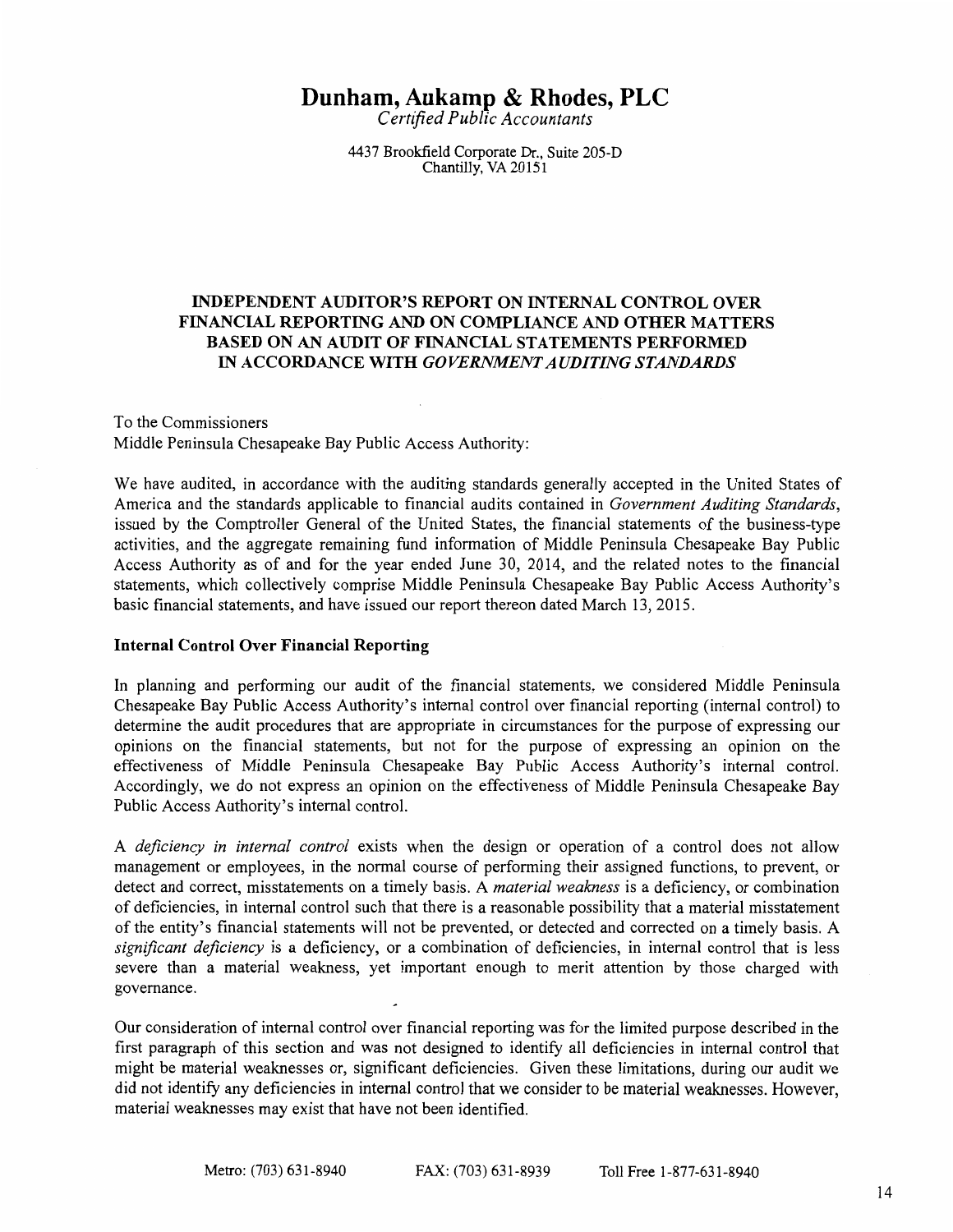# **Dunham, Aukamp & Rhodes, PLC**

C *ertifted Public Accountants* 

4437 Brookfield Corporate Dr., Suite 205-D Chantilly, VA 20151

## INDEPENDENT AUDITOR'S REPORT ON INTERNAL CONTROL OVER FINANCIAL REPORTING AND ON COMPLIANCE AND OTHER MATTERS BASED ON AN AUDIT OF FINANCIAL STATEMENTS PERFORMED IN ACCORDANCE WITH *GOVERNMENT AUDITING STANDARDS*

#### To the Commissioners Middle Peninsula Chesapeake Bay Public Access Authority:

We have audited, in accordance with the auditing standards generally accepted in the United States of America and the standards applicable to financial audits contained in *Government Auditing Standards,*  issued by the Comptroller General of the United States, the financial statements of the business-type activities, and the aggregate remaining fund information of Middle Peninsula Chesapeake Bay Public Access Authority as of and for the year ended June 30, 2014, and the related notes to the financial statements, which collectively comprise Middle Peninsula Chesapeake Bay Public Access Authority's basic financial statements, and have issued our report thereon dated March 13, 2015.

## Internal Control Over Financial Reporting

In planning and performing our audit of the financial statements, we considered Middle Peninsula Chesapeake Bay Public Access Authority's internal control over financial reporting (internal control) to determine the audit procedures that are appropriate in circumstances for the purpose of expressing our opinions on the financial statements, but not for the purpose of expressing an opinion on the effectiveness of Middle Peninsula Chesapeake Bay Public Access Authority's internal control. Accordingly, we do not express an opinion on the effectiveness of Middle Peninsula Chesapeake Bay Public Access Authority's internal control.

A *deficiency in internal control* exists when the design or operation of a control does not allow management or employees, in the normal course of performing their assigned functions, to prevent, or detect and correct, misstatements on a timely basis. A *material weakness* is a deficiency, or combination of deficiencies, in internal control such that there is a reasonable possibility that a material misstatement of the entity's financial statements will not be prevented, or detected and corrected on a timely basis. A *significant deficiency* is a deficiency, or a combination of deficiencies, in internal control that is less severe than a material weakness, yet important enough to merit attention by those charged with governance.

Our consideration of internal control over financial reporting was for the limited purpose described in the first paragraph of this section and was not designed to identify all deficiencies in internal control that might be material weaknesses or, significant deficiencies. Given these limitations, during our audit we did not identify any deficiencies in internal control that we consider to be material weaknesses. However, material weaknesses may exist that have not been identified.